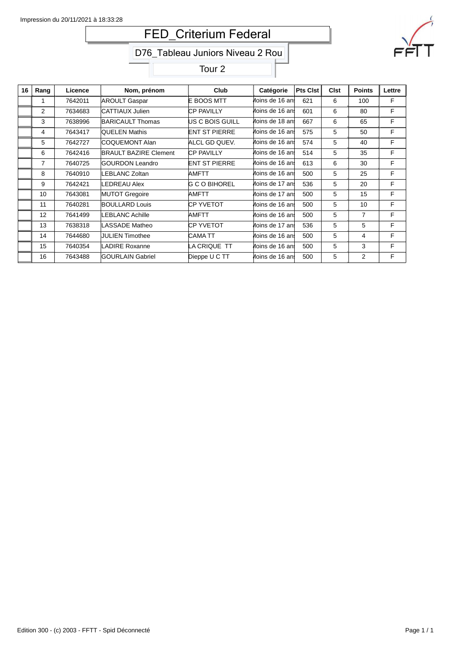# FED\_Criterium Federal



## D76\_Tableau Juniors Niveau 2 Rou

Tour 2

| 16 | Rang           | Licence | Nom, prénom                  | Club                 | Catégorie       | Pts Clst | <b>Clst</b> | <b>Points</b> | Lettre |
|----|----------------|---------|------------------------------|----------------------|-----------------|----------|-------------|---------------|--------|
|    | 1              | 7642011 | <b>AROULT Gaspar</b>         | E BOOS MTT           | Moins de 16 ans | 621      | 6           | 100           | F      |
|    | $\overline{2}$ | 7634683 | CATTIAUX Julien              | CP PAVILLY           | Moins de 16 ani | 601      | 6           | 80            | F      |
|    | 3              | 7638996 | BARICAULT Thomas             | US C BOIS GUILL      | Moins de 18 an! | 667      | 6           | 65            | F      |
|    | 4              | 7643417 | QUELEN Mathis                | ENT ST PIERRE        | Moins de 16 ani | 575      | 5           | 50            | F      |
|    | 5              | 7642727 | <b>COQUEMONT Alan</b>        | ALCL GD QUEV.        | Moins de 16 an! | 574      | 5           | 40            | F      |
|    | 6              | 7642416 | <b>BRAULT BAZIRE Clement</b> | <b>CP PAVILLY</b>    | Moins de 16 ani | 514      | 5           | 35            | F      |
|    | 7              | 7640725 | GOURDON Leandro              | <b>ENT ST PIERRE</b> | Moins de 16 ani | 613      | 6           | 30            | F      |
|    | 8              | 7640910 | LEBLANC Zoltan               | AMFTT                | Moins de 16 an! | 500      | 5           | 25            | F      |
|    | 9              | 7642421 | <b>LEDREAU Alex</b>          | IG C O BIHOREL       | Moins de 17 an! | 536      | 5           | 20            | F      |
|    | 10             | 7643081 | <b>MUTOT Gregoire</b>        | AMFTT                | Moins de 17 an! | 500      | 5           | 15            | F      |
|    | 11             | 7640281 | <b>BOULLARD Louis</b>        | CP YVETOT            | Moins de 16 an! | 500      | 5           | 10            | F      |
|    | 12             | 7641499 | LEBLANC Achille              | AMFTT                | Moins de 16 ani | 500      | 5           | 7             | F      |
|    | 13             | 7638318 | LASSADE Matheo               | CP YVETOT            | Moins de 17 an! | 536      | 5           | 5             | F      |
|    | 14             | 7644680 | <b>JULIEN Timothee</b>       | CAMA TT              | Moins de 16 ani | 500      | 5           | 4             | F      |
|    | 15             | 7640354 | LADIRE Roxanne               | LA CRIQUE TT         | Moins de 16 ani | 500      | 5           | 3             | F      |
|    | 16             | 7643488 | <b>GOURLAIN Gabriel</b>      | Dieppe U C TT        | Moins de 16 ani | 500      | 5           | 2             | F      |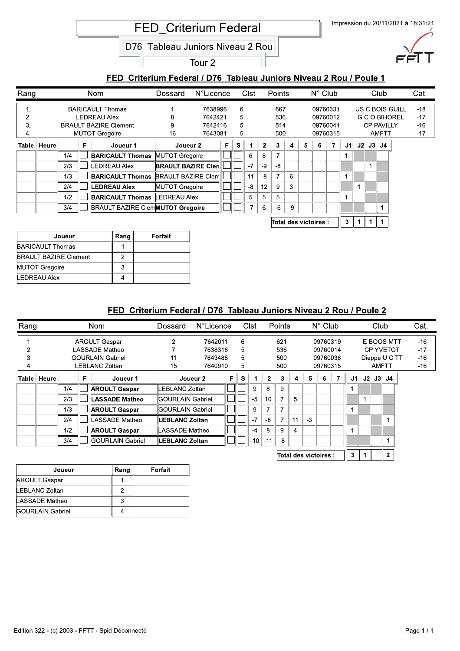#### FED Criterium Federal / D76 Tableau Juniors Niveau 2 Rou / Poule 1

|                      |       |            |   |                                                                                                         |                                                                                 | <b>FED Criterium Federal</b><br>D76 Tableau Juniors Niveau 2 Rou |                                          |   |                  |         |                |                          |    |   |                                              |                |             |              |                |                                                           |                 | Impression du 20/11/2021 à 18:31:21 |  |
|----------------------|-------|------------|---|---------------------------------------------------------------------------------------------------------|---------------------------------------------------------------------------------|------------------------------------------------------------------|------------------------------------------|---|------------------|---------|----------------|--------------------------|----|---|----------------------------------------------|----------------|-------------|--------------|----------------|-----------------------------------------------------------|-----------------|-------------------------------------|--|
|                      |       |            |   |                                                                                                         |                                                                                 |                                                                  | Tour <sub>2</sub>                        |   |                  |         |                |                          |    |   |                                              |                |             |              |                |                                                           |                 |                                     |  |
|                      |       |            |   |                                                                                                         | FED Criterium Federal / D76 Tableau Juniors Niveau 2 Rou / Poule 1              |                                                                  |                                          |   |                  |         |                |                          |    |   |                                              |                |             |              |                |                                                           |                 |                                     |  |
| Rang                 |       |            |   | <b>Nom</b>                                                                                              |                                                                                 | Dossard                                                          | N°Licence                                |   |                  | Clst    |                | Points                   |    |   | $N^{\circ}$ Club                             |                |             |              |                | Club                                                      |                 | Cat.                                |  |
| 1.<br>2.<br>3.<br>4. |       |            |   | <b>BARICAULT Thomas</b><br><b>LEDREAU Alex</b><br><b>BRAULT BAZIRE Clement</b><br><b>MUTOT Gregoire</b> |                                                                                 | 8<br>9<br>16                                                     | 7638996<br>7642421<br>7642416<br>7643081 |   | 6<br>5<br>5<br>5 |         |                | 667<br>536<br>514<br>500 |    |   | 09760331<br>09760012<br>09760041<br>09760315 |                |             |              |                | <b>G C O BIHOREL</b><br><b>CP PAVILLY</b><br><b>AMFTT</b> | US C BOIS GUILL | $-18$<br>$-17$<br>$-16$<br>$-17$    |  |
| Table                | Heure |            | F |                                                                                                         | Joueur 1                                                                        | Joueur 2                                                         |                                          | F | S                | 1       | $\overline{2}$ | 3                        | 4  | 5 | 6                                            | $\overline{7}$ | J1          |              | $J2$ $J3$ $J4$ |                                                           |                 |                                     |  |
|                      |       | 1/4        |   |                                                                                                         | <b>BARICAULT Thomas</b>                                                         | MUTOT Gregoire                                                   |                                          |   |                  | 6       | 8              | $\overline{7}$           |    |   |                                              |                | 1           |              |                |                                                           |                 |                                     |  |
|                      |       |            |   |                                                                                                         |                                                                                 |                                                                  |                                          |   |                  | $-7$    | -9             | $-8$                     |    |   |                                              |                |             |              | 1              |                                                           |                 |                                     |  |
|                      |       | 2/3        |   | LEDREAU Alex                                                                                            |                                                                                 | <b>BRAULT BAZIRE Cler</b>                                        |                                          |   |                  |         |                |                          |    |   |                                              |                |             |              |                |                                                           |                 |                                     |  |
|                      |       | 1/3        |   |                                                                                                         | <b>BARICAULT Thomas BRAULT BAZIRE Clem</b>                                      |                                                                  |                                          |   |                  | 11      | -8             | $\overline{7}$           | 6  |   |                                              |                | $\mathbf 1$ |              |                |                                                           |                 |                                     |  |
|                      |       | 2/4        |   | <b>LEDREAU Alex</b>                                                                                     |                                                                                 | MUTOT Gregoire                                                   |                                          |   |                  | $-8$    | 12             | 9                        | 3  |   |                                              |                |             | $\mathbf{1}$ |                |                                                           |                 |                                     |  |
|                      |       | 1/2<br>3/4 |   |                                                                                                         | <b>BARICAULT Thomas LEDREAU Alex</b><br><b>BRAULT BAZIRE ClemMUTOT Gregoire</b> |                                                                  |                                          |   |                  | 5<br>-7 | 5<br>6         | 5<br>$-6$                | -9 |   |                                              |                | 1           |              |                | 1                                                         |                 |                                     |  |

PTFKL>JGU>WEFTEDGU> s [ [ [

| Joueur                       | Rang | Forfait |
|------------------------------|------|---------|
| <b>BARICAULT Thomas</b>      |      |         |
| <b>BRAULT BAZIRE Clement</b> |      |         |
| <b>MUTOT Gregoire</b>        |      |         |
| <b>LEDREAU Alex</b>          |      |         |

#### FED Criterium Federal / D76 Tableau Juniors Niveau 2 Rou / Poule 2

|               |     |   |                         | Dossard                                                                                           |                                                                                                                                     |                                                              |      |              |                          |    |               |   |   |                                                                  |    |  |                                   | Cat.                                            |
|---------------|-----|---|-------------------------|---------------------------------------------------------------------------------------------------|-------------------------------------------------------------------------------------------------------------------------------------|--------------------------------------------------------------|------|--------------|--------------------------|----|---------------|---|---|------------------------------------------------------------------|----|--|-----------------------------------|-------------------------------------------------|
|               |     |   |                         | $\overline{2}$                                                                                    |                                                                                                                                     | 6                                                            |      |              | 621                      |    |               |   |   |                                                                  |    |  |                                   | $-16$                                           |
|               |     |   |                         |                                                                                                   |                                                                                                                                     | 5                                                            |      |              | 536                      |    |               |   |   |                                                                  |    |  |                                   | $-17$                                           |
|               |     |   |                         | 11                                                                                                |                                                                                                                                     | 5                                                            |      |              | 500                      |    |               |   |   |                                                                  |    |  |                                   | $-16$                                           |
|               |     |   |                         | 15                                                                                                |                                                                                                                                     | 5                                                            |      |              | 500                      |    |               |   |   |                                                                  |    |  |                                   | $-16$                                           |
| Table   Heure |     | F | Joueur 1                |                                                                                                   | F                                                                                                                                   | S                                                            |      | $\mathbf{2}$ | 3                        | 4  | 5             | 6 | 7 | J1                                                               | J2 |  |                                   |                                                 |
|               | 1/4 |   | <b>AROULT Gaspar</b>    |                                                                                                   |                                                                                                                                     |                                                              | 9    | 8            | 9                        |    |               |   |   |                                                                  |    |  |                                   |                                                 |
|               | 2/3 |   | <b>LASSADE Matheo</b>   |                                                                                                   |                                                                                                                                     |                                                              | $-5$ | 10           | $\overline{7}$           | 5  |               |   |   |                                                                  |    |  |                                   |                                                 |
|               | 1/3 |   | <b>AROULT Gaspar</b>    |                                                                                                   |                                                                                                                                     |                                                              | 9    | ⇁            | $\overline{\phantom{a}}$ |    |               |   |   | 1                                                                |    |  |                                   |                                                 |
|               | 2/4 |   | ASSADE Matheo           |                                                                                                   |                                                                                                                                     |                                                              | $-7$ | -8           | 7                        | 11 | $-3$          |   |   |                                                                  |    |  |                                   |                                                 |
|               | 1/2 |   | <b>AROULT Gaspar</b>    |                                                                                                   |                                                                                                                                     |                                                              | $-4$ | 8            | 9                        | 4  |               |   |   |                                                                  |    |  |                                   |                                                 |
|               | 3/4 |   | <b>GOURLAIN Gabriel</b> |                                                                                                   |                                                                                                                                     |                                                              |      | $-11$        | -8                       |    |               |   |   |                                                                  |    |  |                                   |                                                 |
|               |     |   |                         | Nom<br><b>AROULT Gaspar</b><br>LASSADE Matheo<br><b>GOURLAIN Gabriel</b><br><b>LEBLANC Zoltan</b> | Joueur 2<br>LEBLANC Zoltan<br>lGOURLAIN Gabriel<br>lGOURLAIN Gabriel<br>∥LEBLANC Zoltan<br>LASSADE Matheo<br><b>ILEBLANC Zoltan</b> | <b>N°Licence</b><br>7642011<br>7638318<br>7643488<br>7640910 |      | Clst         | $-10$                    |    | <b>Points</b> |   |   | $N^{\circ}$ Club<br>09760319<br>09760014<br>09760036<br>09760315 |    |  | Club<br><b>AMFTT</b><br>$J3$ $J4$ | E BOOS MTT<br><b>CP YVETOT</b><br>Dieppe U C TT |

Total des victoires :  $\begin{array}{|c|c|c|c|c|c|}\n\hline\n3 & 1 & 2\n\end{array}$ 

| Joueur                  | Rang | Forfait |
|-------------------------|------|---------|
| <b>AROULT Gaspar</b>    |      |         |
| LEBLANC Zoltan          |      |         |
| LASSADE Matheo          | 3    |         |
| <b>GOURLAIN Gabriel</b> |      |         |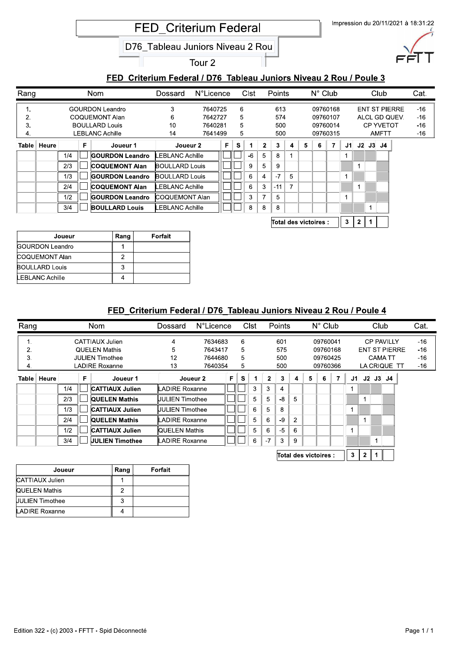#### FED Criterium Federal / D76 Tableau Juniors Niveau 2 Rou / Poule 3

|                      |               |            |    |                                                                                             |                        | <b>FED Criterium Federal</b><br>D76 Tableau Juniors Niveau 2 Rou   | Tour <sub>2</sub>                        |   |                  |             |                     |                          |                |   |                                              |   |             |             |                     | Impression du 20/11/2021 à 18:31:22                       |                                  |
|----------------------|---------------|------------|----|---------------------------------------------------------------------------------------------|------------------------|--------------------------------------------------------------------|------------------------------------------|---|------------------|-------------|---------------------|--------------------------|----------------|---|----------------------------------------------|---|-------------|-------------|---------------------|-----------------------------------------------------------|----------------------------------|
|                      |               |            |    |                                                                                             |                        |                                                                    |                                          |   |                  |             |                     |                          |                |   |                                              |   |             |             |                     |                                                           |                                  |
|                      |               |            |    |                                                                                             |                        | FED Criterium Federal / D76 Tableau Juniors Niveau 2 Rou / Poule 3 |                                          |   |                  |             |                     |                          |                |   |                                              |   |             |             |                     |                                                           |                                  |
| Rang                 |               |            |    | <b>Nom</b>                                                                                  |                        | Dossard                                                            | <b>N°Licence</b>                         |   |                  | <b>Clst</b> |                     | Points                   |                |   | $N^{\circ}$ Club                             |   |             |             | Club                |                                                           | Cat.                             |
| 1.<br>2.<br>3.<br>4. |               |            |    | <b>GOURDON Leandro</b><br>COQUEMONT Alan<br><b>BOULLARD Louis</b><br><b>LEBLANC Achille</b> |                        | 3<br>6<br>10<br>14                                                 | 7640725<br>7642727<br>7640281<br>7641499 |   | 6<br>5<br>5<br>5 |             |                     | 613<br>574<br>500<br>500 |                |   | 09760168<br>09760107<br>09760014<br>09760315 |   |             |             | AMFTT               | <b>ENT ST PIERRE</b><br>ALCL GD QUEV.<br><b>CP YVETOT</b> | $-16$<br>$-16$<br>$-16$<br>$-16$ |
|                      | Table   Heure |            | F. |                                                                                             | Joueur 1               | Joueur 2                                                           |                                          | F | $\mathbf{s}$     |             | $\mathbf{2}$        | 3                        | 4              | 5 | 6                                            | 7 |             |             | $J1$ $J2$ $J3$ $J4$ |                                                           |                                  |
|                      |               | 1/4        |    |                                                                                             | <b>GOURDON Leandro</b> | LEBLANC Achille                                                    |                                          |   |                  | $-6$        | 5                   | 8                        | $\mathbf{1}$   |   |                                              |   | 1           |             |                     |                                                           |                                  |
|                      |               | 2/3        |    |                                                                                             | <b>COQUEMONT Alan</b>  | BOULLARD Louis                                                     |                                          |   |                  | 9<br>6      | 5<br>$\overline{4}$ | 9<br>$-7$                |                |   |                                              |   |             | $\mathbf 1$ |                     |                                                           |                                  |
|                      |               |            |    |                                                                                             |                        |                                                                    |                                          |   |                  |             |                     |                          | 5              |   |                                              |   | $\mathbf 1$ |             |                     |                                                           |                                  |
|                      |               | 1/3        |    |                                                                                             | <b>GOURDON Leandro</b> | BOULLARD Louis                                                     |                                          |   |                  |             |                     |                          |                |   |                                              |   |             |             |                     |                                                           |                                  |
|                      |               | 2/4        |    | <b>COQUEMONT Alan</b>                                                                       |                        | LEBLANC Achille                                                    |                                          |   |                  | 6<br>3      | 3<br>$\overline{7}$ | $-11$<br>5               | $\overline{7}$ |   |                                              |   | $\mathbf 1$ | $\mathbf 1$ |                     |                                                           |                                  |
|                      |               | 1/2<br>3/4 |    | <b>BOULLARD Louis</b>                                                                       | <b>GOURDON Leandro</b> | COQUEMONT Alan<br>LEBLANC Achille                                  |                                          |   |                  | 8           | 8                   | 8                        |                |   |                                              |   |             |             | $\mathbf 1$         |                                                           |                                  |

Total des victoires :  $\begin{array}{|c|c|c|c|c|c|}\n\hline\n3 & 2 & 1\n\end{array}$ 

| Joueur                 | Rang | Forfait |
|------------------------|------|---------|
| <b>GOURDON Leandro</b> |      |         |
| COQUEMONT Alan         |      |         |
| <b>BOULLARD Louis</b>  | 3    |         |
| LEBLANC Achille        |      |         |

### FED Criterium Federal / D76 Tableau Juniors Niveau 2 Rou / Poule 4

| Rang |               |     |   | Nom                    | Dossard          | <b>N°Licence</b> |    |   | Clst |              | <b>Points</b>  |                |   | $N^{\circ}$ Club |   |    | Club |                      | Cat.  |
|------|---------------|-----|---|------------------------|------------------|------------------|----|---|------|--------------|----------------|----------------|---|------------------|---|----|------|----------------------|-------|
| ι.   |               |     |   | CATTIAUX Julien        | 4                | 7634683          |    | 6 |      |              | 601            |                |   | 09760041         |   |    |      | <b>CP PAVILLY</b>    | $-16$ |
| 2.   |               |     |   | <b>QUELEN Mathis</b>   | 5                | 7643417          |    | 5 |      |              | 575            |                |   | 09760168         |   |    |      | <b>ENT ST PIERRE</b> | -16   |
| 3.   |               |     |   | <b>JULIEN Timothee</b> | 12               | 7644680          |    | 5 |      |              | 500            |                |   | 09760425         |   |    |      | <b>CAMATT</b>        | -16   |
| 4.   |               |     |   | <b>LADIRE Roxanne</b>  | 13               | 7640354          |    | 5 |      |              | 500            |                |   | 09760366         |   |    |      | LA CRIQUE TT         | $-16$ |
|      | Table   Heure |     | F | Joueur 1               |                  | Joueur 2         | F. | s |      | $\mathbf{2}$ | 3              | 4              | 5 | 6                | 7 | J1 |      | $J2$ $J3$ $J4$       |       |
|      |               | 1/4 |   | <b>CATTIAUX Julien</b> | LADIRE Roxanne   |                  |    |   | 3    | 3            | $\overline{4}$ |                |   |                  |   |    |      |                      |       |
|      |               | 2/3 |   | <b>QUELEN Mathis</b>   | UULIEN Timothee  |                  |    |   | 5    | 5            | $-8$           | 5              |   |                  |   |    |      |                      |       |
|      |               | 1/3 |   | <b>CATTIAUX Julien</b> | IJULIEN Timothee |                  |    |   | 6    | 5            | 8              |                |   |                  |   | 4  |      |                      |       |
|      |               | 2/4 |   | <b>QUELEN Mathis</b>   | LADIRE Roxanne   |                  |    |   | 5    | 6            | $-9$           | $\overline{2}$ |   |                  |   |    |      |                      |       |
|      |               | 1/2 |   | <b>CATTIAUX Julien</b> | ∥QUELEN Mathis   |                  |    |   | 5    | 6            | $-5$           | 6              |   |                  |   |    |      |                      |       |
|      |               | 3/4 |   | <b>JULIEN Timothee</b> | LADIRE Roxanne   |                  |    |   | 6    | $-7$         | 3              | 9              |   |                  |   |    |      |                      |       |
|      |               |     |   |                        |                  |                  |    |   |      |              |                |                |   |                  |   |    |      |                      |       |

| Total des victoires : |  |  |  |  |
|-----------------------|--|--|--|--|
|-----------------------|--|--|--|--|

| Joueur                 | Rang | Forfait |
|------------------------|------|---------|
| CATTIAUX Julien        |      |         |
| QUELEN Mathis          | 2    |         |
| <b>JULIEN Timothee</b> | 3    |         |
| LADIRE Roxanne         |      |         |